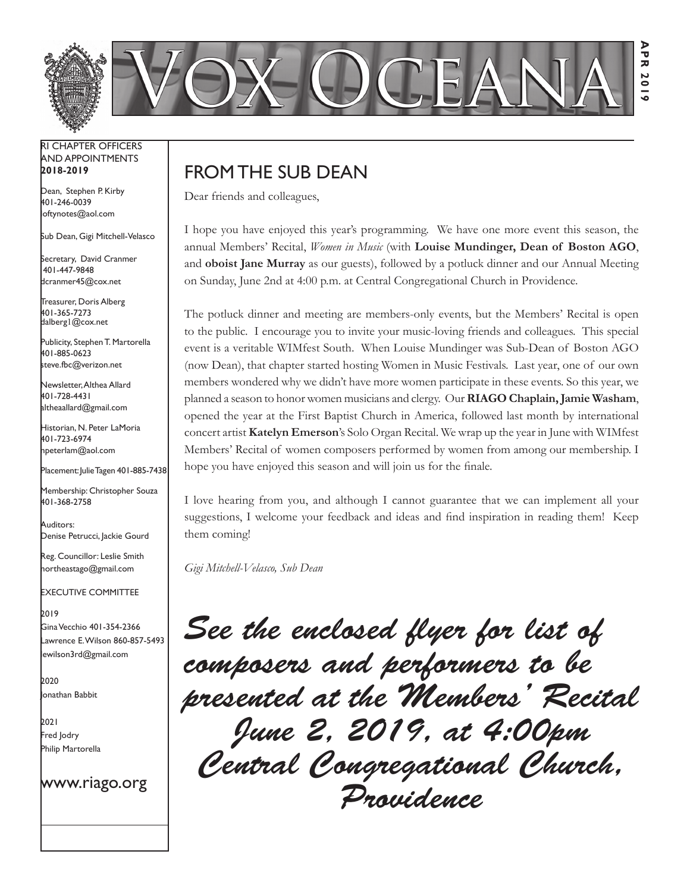

#### RI Chapter Officers and Appointments **2018-2019**

Dean, Stephen P. Kirby 401-246-0039 loftynotes@aol.com

Sub Dean, Gigi Mitchell-Velasco

Secretary, David Cranmer 401-447-9848 dcranmer45@cox.net

Treasurer, Doris Alberg 401-365-7273 dalberg1@cox.net I

Publicity, Stephen T. Martorella 401-885-0623 steve.fbc@verizon.net

Newsletter, Althea Allard 401-728-4431 altheaallard@gmail.com

Historian, N. Peter LaMoria 401-723-6974 npeterlam@aol.com

Placement: Julie Tagen 401-885-7438

Membership: Christopher Souza 401-368-2758

Auditors: Denise Petrucci, Jackie Gourd

Reg. Councillor: Leslie Smith northeastago@gmail.com

Executive Committee

2019 Gina Vecchio 401-354-2366 Lawrence E. Wilson 860-857-5493 lewilson3rd@gmail.com

2020 Jonathan Babbit

2021 Fred Jodry Philip Martorella

www.riago.org

# FROM THE SUB DEAN

Dear friends and colleagues,

I hope you have enjoyed this year's programming. We have one more event this season, the annual Members' Recital, *Women in Music* (with **Louise Mundinger, Dean of Boston AGO**, and **oboist Jane Murray** as our guests), followed by a potluck dinner and our Annual Meeting on Sunday, June 2nd at 4:00 p.m. at Central Congregational Church in Providence.

The potluck dinner and meeting are members-only events, but the Members' Recital is open to the public. I encourage you to invite your music-loving friends and colleagues. This special event is a veritable WIMfest South. When Louise Mundinger was Sub-Dean of Boston AGO (now Dean), that chapter started hosting Women in Music Festivals. Last year, one of our own members wondered why we didn't have more women participate in these events. So this year, we planned a season to honor women musicians and clergy. Our **RIAGO Chaplain, Jamie Washam**, opened the year at the First Baptist Church in America, followed last month by international concert artist **Katelyn Emerson**'s Solo Organ Recital. We wrap up the year in June with WIMfest Members' Recital of women composers performed by women from among our membership. I hope you have enjoyed this season and will join us for the finale.

I love hearing from you, and although I cannot guarantee that we can implement all your suggestions, I welcome your feedback and ideas and find inspiration in reading them! Keep them coming!

*Gigi Mitchell-Velasco, Sub Dean*

*See the enclosed flyer for list of composers and performers to be presented at the Members' Recital June 2, 2019, at 4:00pm Central Congregational Church, Providence*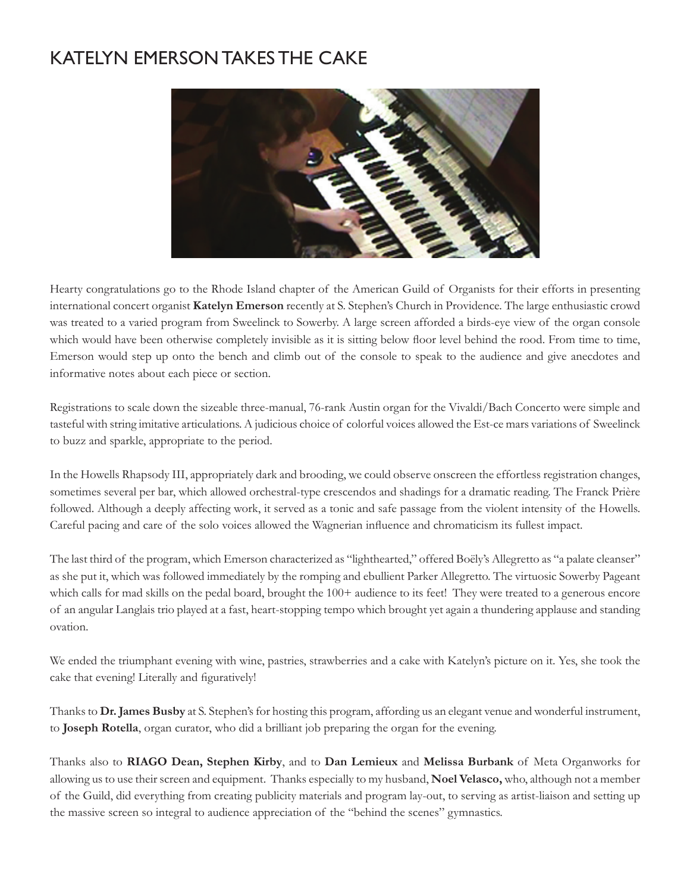# Katelyn Emerson Takes the Cake



Hearty congratulations go to the Rhode Island chapter of the American Guild of Organists for their efforts in presenting international concert organist **Katelyn Emerson** recently at S. Stephen's Church in Providence. The large enthusiastic crowd was treated to a varied program from Sweelinck to Sowerby. A large screen afforded a birds-eye view of the organ console which would have been otherwise completely invisible as it is sitting below floor level behind the rood. From time to time, Emerson would step up onto the bench and climb out of the console to speak to the audience and give anecdotes and informative notes about each piece or section.

Registrations to scale down the sizeable three-manual, 76-rank Austin organ for the Vivaldi/Bach Concerto were simple and tasteful with string imitative articulations. A judicious choice of colorful voices allowed the Est-ce mars variations of Sweelinck to buzz and sparkle, appropriate to the period.

In the Howells Rhapsody III, appropriately dark and brooding, we could observe onscreen the effortless registration changes, sometimes several per bar, which allowed orchestral-type crescendos and shadings for a dramatic reading. The Franck Prière followed. Although a deeply affecting work, it served as a tonic and safe passage from the violent intensity of the Howells. Careful pacing and care of the solo voices allowed the Wagnerian influence and chromaticism its fullest impact.

The last third of the program, which Emerson characterized as "lighthearted," offered Boëly's Allegretto as "a palate cleanser" as she put it, which was followed immediately by the romping and ebullient Parker Allegretto. The virtuosic Sowerby Pageant which calls for mad skills on the pedal board, brought the 100+ audience to its feet! They were treated to a generous encore of an angular Langlais trio played at a fast, heart-stopping tempo which brought yet again a thundering applause and standing ovation.

We ended the triumphant evening with wine, pastries, strawberries and a cake with Katelyn's picture on it. Yes, she took the cake that evening! Literally and figuratively!

Thanks to **Dr. James Busby** at S. Stephen's for hosting this program, affording us an elegant venue and wonderful instrument, to **Joseph Rotella**, organ curator, who did a brilliant job preparing the organ for the evening.

Thanks also to **RIAGO Dean, Stephen Kirby**, and to **Dan Lemieux** and **Melissa Burbank** of Meta Organworks for allowing us to use their screen and equipment. Thanks especially to my husband, **Noel Velasco,** who, although not a member of the Guild, did everything from creating publicity materials and program lay-out, to serving as artist-liaison and setting up the massive screen so integral to audience appreciation of the "behind the scenes" gymnastics.